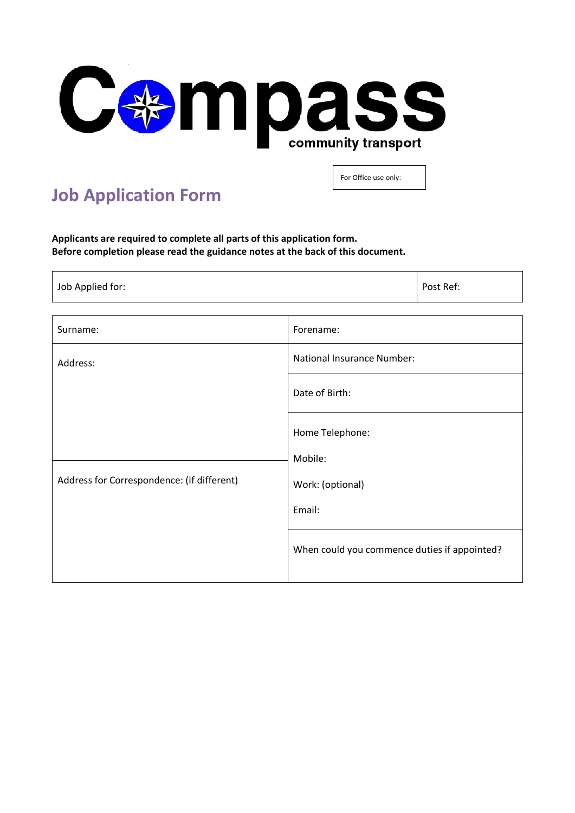

## **Job Application Form**

For Office use only:

**Applicants are required to complete all parts of this application form. Before completion please read the guidance notes at the back of this document.**

| Surname:                                   | Forename:                                    |
|--------------------------------------------|----------------------------------------------|
| Address:                                   | <b>National Insurance Number:</b>            |
|                                            | Date of Birth:                               |
|                                            | Home Telephone:                              |
|                                            | Mobile:                                      |
| Address for Correspondence: (if different) | Work: (optional)                             |
|                                            | Email:                                       |
|                                            | When could you commence duties if appointed? |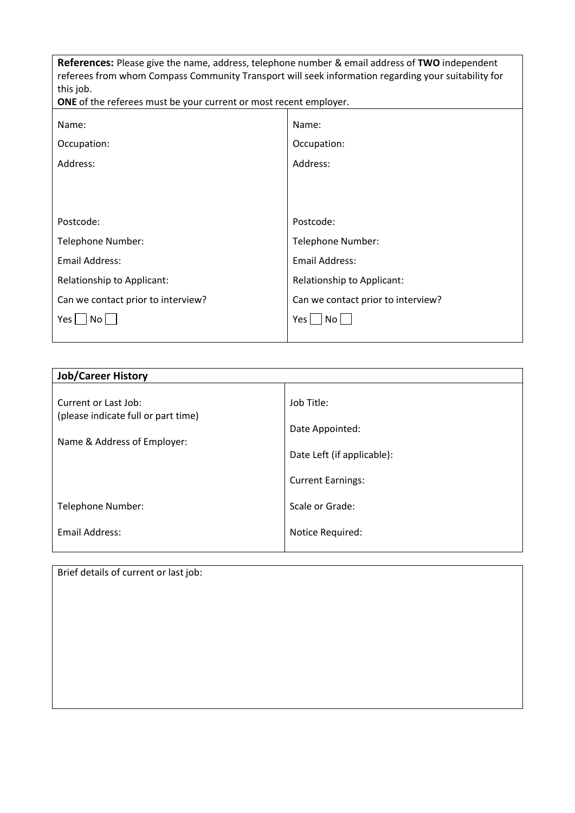| <b>References:</b> Please give the name, address, telephone number & email address of <b>TWO</b> independent<br>referees from whom Compass Community Transport will seek information regarding your suitability for<br>this job.<br><b>ONE</b> of the referees must be your current or most recent employer. |                                    |  |
|--------------------------------------------------------------------------------------------------------------------------------------------------------------------------------------------------------------------------------------------------------------------------------------------------------------|------------------------------------|--|
|                                                                                                                                                                                                                                                                                                              |                                    |  |
| Name:                                                                                                                                                                                                                                                                                                        | Name:                              |  |
| Occupation:                                                                                                                                                                                                                                                                                                  | Occupation:                        |  |
| Address:                                                                                                                                                                                                                                                                                                     | Address:                           |  |
|                                                                                                                                                                                                                                                                                                              |                                    |  |
|                                                                                                                                                                                                                                                                                                              |                                    |  |
| Postcode:                                                                                                                                                                                                                                                                                                    | Postcode:                          |  |
| Telephone Number:                                                                                                                                                                                                                                                                                            | Telephone Number:                  |  |
| <b>Email Address:</b>                                                                                                                                                                                                                                                                                        | Email Address:                     |  |
| Relationship to Applicant:                                                                                                                                                                                                                                                                                   | Relationship to Applicant:         |  |
| Can we contact prior to interview?                                                                                                                                                                                                                                                                           | Can we contact prior to interview? |  |
| Yes  <br>No l                                                                                                                                                                                                                                                                                                | Yes l<br>No.                       |  |
|                                                                                                                                                                                                                                                                                                              |                                    |  |

| <b>Job/Career History</b>                                          |                            |
|--------------------------------------------------------------------|----------------------------|
| Current or Last Job:                                               | Job Title:                 |
| (please indicate full or part time)<br>Name & Address of Employer: | Date Appointed:            |
|                                                                    | Date Left (if applicable): |
|                                                                    | <b>Current Earnings:</b>   |
| Telephone Number:                                                  | Scale or Grade:            |
| Email Address:                                                     | Notice Required:           |

Brief details of current or last job: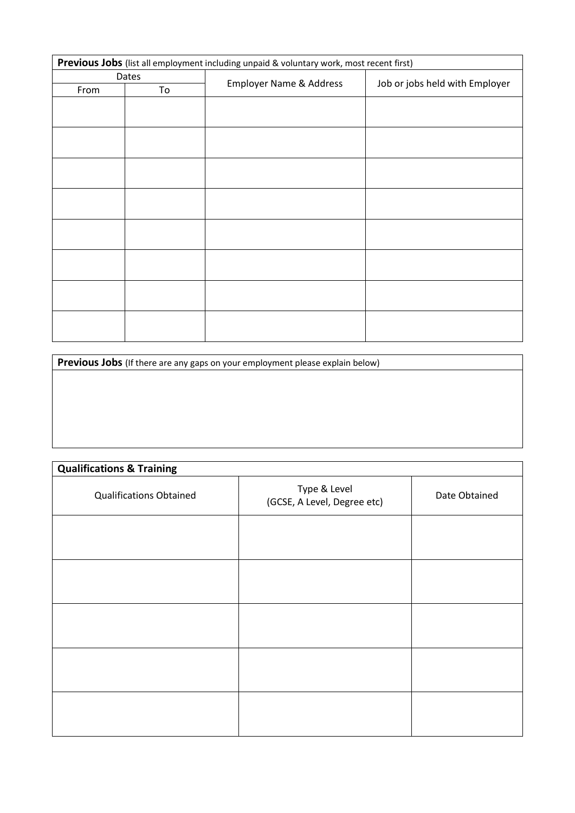| Previous Jobs (list all employment including unpaid & voluntary work, most recent first) |       |                                    |                                |  |
|------------------------------------------------------------------------------------------|-------|------------------------------------|--------------------------------|--|
|                                                                                          | Dates |                                    | Job or jobs held with Employer |  |
| From                                                                                     | To    | <b>Employer Name &amp; Address</b> |                                |  |
|                                                                                          |       |                                    |                                |  |
|                                                                                          |       |                                    |                                |  |
|                                                                                          |       |                                    |                                |  |
|                                                                                          |       |                                    |                                |  |
|                                                                                          |       |                                    |                                |  |
|                                                                                          |       |                                    |                                |  |
|                                                                                          |       |                                    |                                |  |
|                                                                                          |       |                                    |                                |  |
|                                                                                          |       |                                    |                                |  |
|                                                                                          |       |                                    |                                |  |
|                                                                                          |       |                                    |                                |  |
|                                                                                          |       |                                    |                                |  |
|                                                                                          |       |                                    |                                |  |
|                                                                                          |       |                                    |                                |  |
|                                                                                          |       |                                    |                                |  |
|                                                                                          |       |                                    |                                |  |

Previous Jobs (If there are any gaps on your employment please explain below)

| <b>Qualifications &amp; Training</b> |                                             |               |
|--------------------------------------|---------------------------------------------|---------------|
| <b>Qualifications Obtained</b>       | Type & Level<br>(GCSE, A Level, Degree etc) | Date Obtained |
|                                      |                                             |               |
|                                      |                                             |               |
|                                      |                                             |               |
|                                      |                                             |               |
|                                      |                                             |               |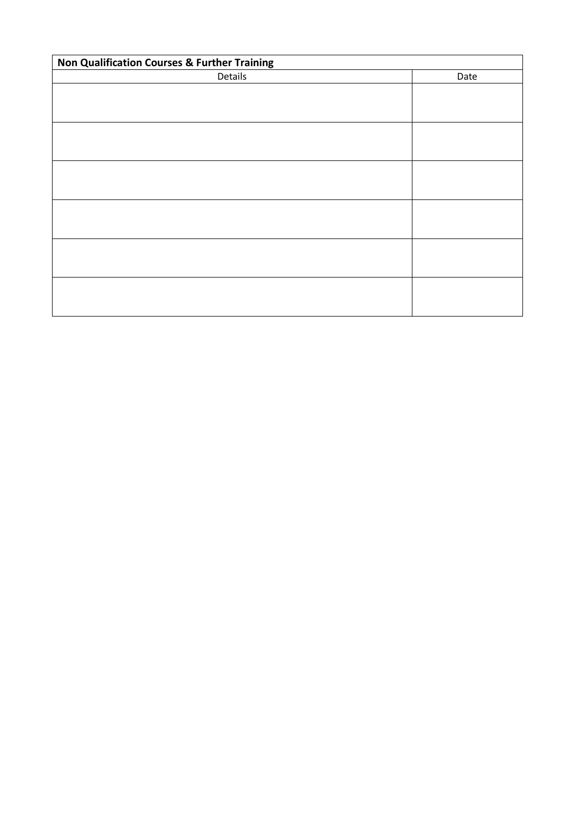| Non Qualification Courses & Further Training |      |  |
|----------------------------------------------|------|--|
| Details                                      | Date |  |
|                                              |      |  |
|                                              |      |  |
|                                              |      |  |
|                                              |      |  |
|                                              |      |  |
|                                              |      |  |
|                                              |      |  |
|                                              |      |  |
|                                              |      |  |
|                                              |      |  |
|                                              |      |  |
|                                              |      |  |
|                                              |      |  |
|                                              |      |  |
|                                              |      |  |
|                                              |      |  |
|                                              |      |  |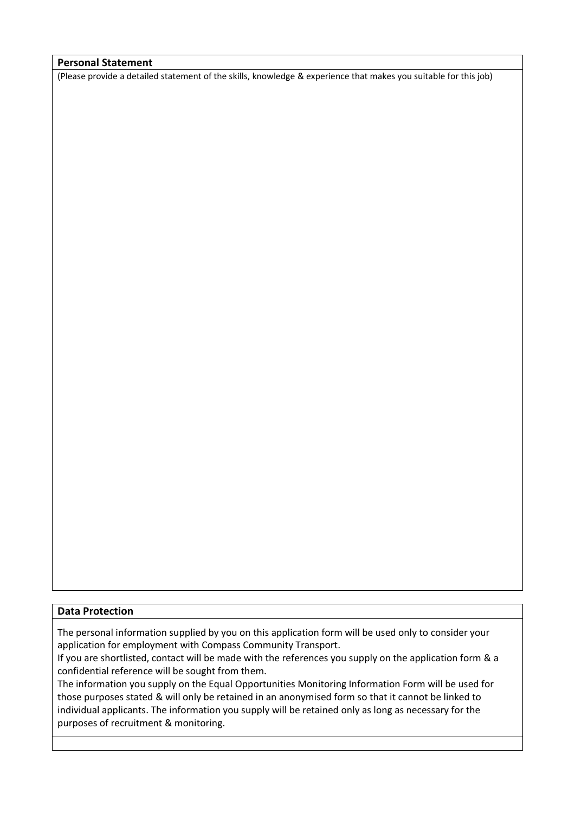#### **Personal Statement**

(Please provide a detailed statement of the skills, knowledge & experience that makes you suitable for this job)

#### **Data Protection**

The personal information supplied by you on this application form will be used only to consider your application for employment with Compass Community Transport.

If you are shortlisted, contact will be made with the references you supply on the application form & a confidential reference will be sought from them.

The information you supply on the Equal Opportunities Monitoring Information Form will be used for those purposes stated & will only be retained in an anonymised form so that it cannot be linked to individual applicants. The information you supply will be retained only as long as necessary for the purposes of recruitment & monitoring.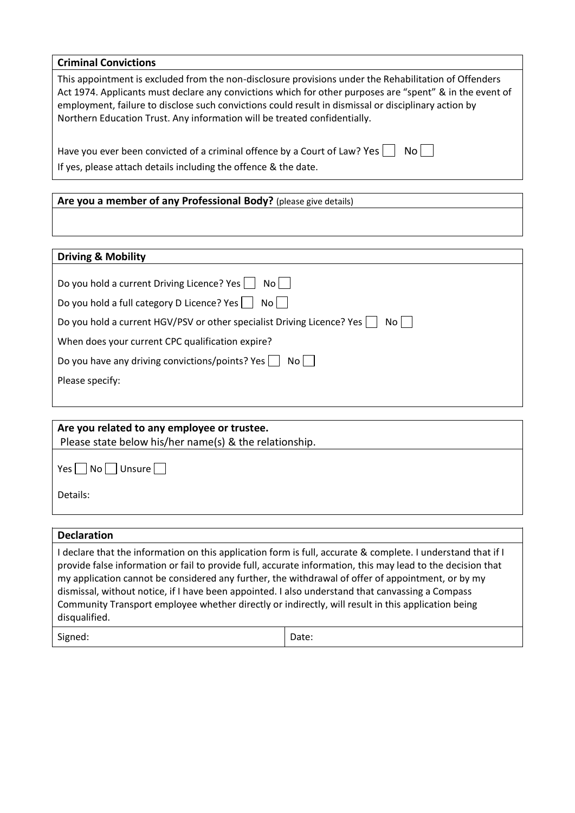| <b>Criminal Convictions</b>                                                                                                                                                                                                                                                                                                                                                                            |
|--------------------------------------------------------------------------------------------------------------------------------------------------------------------------------------------------------------------------------------------------------------------------------------------------------------------------------------------------------------------------------------------------------|
| This appointment is excluded from the non-disclosure provisions under the Rehabilitation of Offenders<br>Act 1974. Applicants must declare any convictions which for other purposes are "spent" & in the event of<br>employment, failure to disclose such convictions could result in dismissal or disciplinary action by<br>Northern Education Trust. Any information will be treated confidentially. |
| Have you ever been convicted of a criminal offence by a Court of Law? Yes<br>No II                                                                                                                                                                                                                                                                                                                     |
| If yes, please attach details including the offence & the date.                                                                                                                                                                                                                                                                                                                                        |
|                                                                                                                                                                                                                                                                                                                                                                                                        |
| Are you a member of any Professional Body? (please give details)                                                                                                                                                                                                                                                                                                                                       |

### **Driving & Mobility**

| Do you hold a current Driving Licence? Yes     No                              |
|--------------------------------------------------------------------------------|
| Do you hold a full category D Licence? Yes  <br>$NO$   $\overline{ }$          |
| Do you hold a current HGV/PSV or other specialist Driving Licence? Yes<br>Noll |
| When does your current CPC qualification expire?                               |
| Do you have any driving convictions/points? Yes    <br>Noll                    |
| Please specify:                                                                |
|                                                                                |

| Are you related to any employee or trustee.            |  |
|--------------------------------------------------------|--|
| Please state below his/her name(s) & the relationship. |  |
| $ No $   Unsure    <br>Yes                             |  |
| Details:                                               |  |
|                                                        |  |

### **Declaration**  I declare that the information on this application form is full, accurate & complete. I understand that if I provide false information or fail to provide full, accurate information, this may lead to the decision that my application cannot be considered any further, the withdrawal of offer of appointment, or by my dismissal, without notice, if I have been appointed. I also understand that canvassing a Compass Community Transport employee whether directly or indirectly, will result in this application being disqualified. Signed: Date: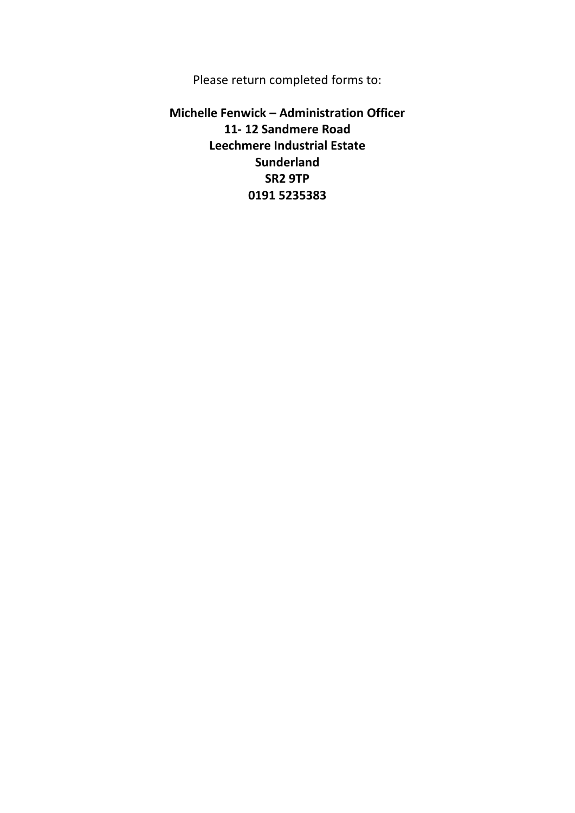Please return completed forms to:

**Michelle Fenwick – Administration Officer 11- 12 Sandmere Road Leechmere Industrial Estate Sunderland SR2 9TP 0191 5235383**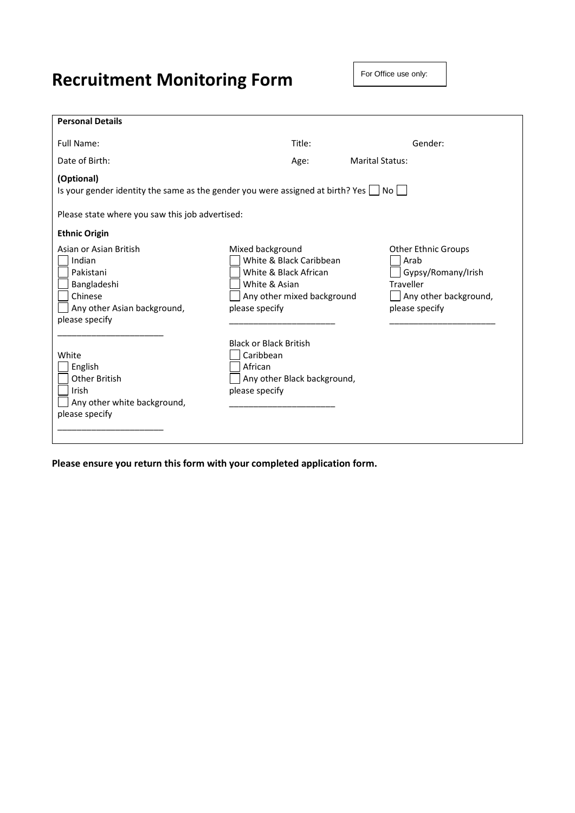# **Recruitment Monitoring Form**

For Office use only:

| <b>Personal Details</b>                                                                                                  |                                                                                                                                       |                                                                                                                  |
|--------------------------------------------------------------------------------------------------------------------------|---------------------------------------------------------------------------------------------------------------------------------------|------------------------------------------------------------------------------------------------------------------|
| Full Name:                                                                                                               | Title:                                                                                                                                | Gender:                                                                                                          |
| Date of Birth:                                                                                                           | Age:                                                                                                                                  | <b>Marital Status:</b>                                                                                           |
| (Optional)<br>Is your gender identity the same as the gender you were assigned at birth? Yes $\vert$ No                  |                                                                                                                                       |                                                                                                                  |
| Please state where you saw this job advertised:                                                                          |                                                                                                                                       |                                                                                                                  |
| <b>Ethnic Origin</b>                                                                                                     |                                                                                                                                       |                                                                                                                  |
| Asian or Asian British<br>Indian<br>Pakistani<br>Bangladeshi<br>Chinese<br>Any other Asian background,<br>please specify | Mixed background<br>White & Black Caribbean<br>White & Black African<br>White & Asian<br>Any other mixed background<br>please specify | <b>Other Ethnic Groups</b><br>Arab<br>Gypsy/Romany/Irish<br>Traveller<br>Any other background,<br>please specify |
| White<br>English<br><b>Other British</b><br>Irish<br>Any other white background,<br>please specify                       | <b>Black or Black British</b><br>Caribbean<br>African<br>Any other Black background,<br>please specify                                |                                                                                                                  |

**Please ensure you return this form with your completed application form.**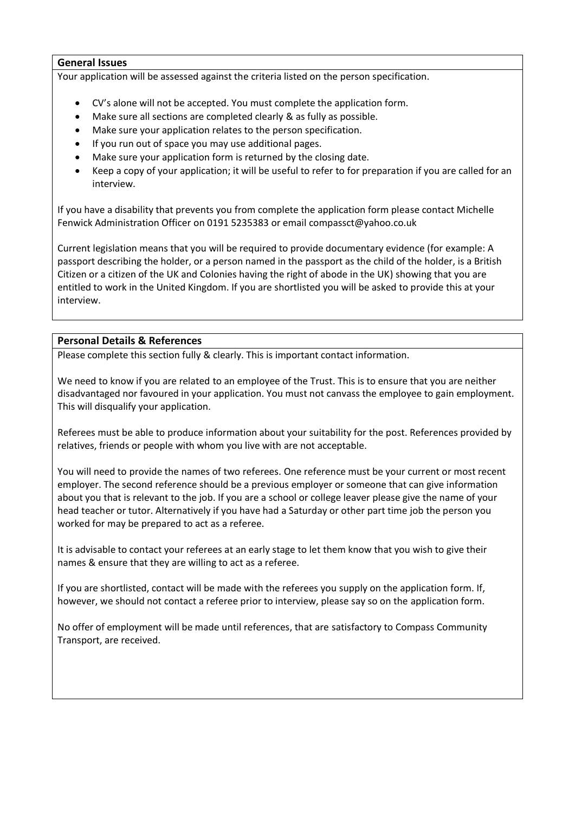#### **General Issues**

Your application will be assessed against the criteria listed on the person specification.

- CV's alone will not be accepted. You must complete the application form.
- Make sure all sections are completed clearly & as fully as possible.
- Make sure your application relates to the person specification.
- If you run out of space you may use additional pages.
- Make sure your application form is returned by the closing date.
- Keep a copy of your application; it will be useful to refer to for preparation if you are called for an interview.

If you have a disability that prevents you from complete the application form please contact Michelle Fenwick Administration Officer on 0191 5235383 or email compassct@yahoo.co.uk

Current legislation means that you will be required to provide documentary evidence (for example: A passport describing the holder, or a person named in the passport as the child of the holder, is a British Citizen or a citizen of the UK and Colonies having the right of abode in the UK) showing that you are entitled to work in the United Kingdom. If you are shortlisted you will be asked to provide this at your interview.

#### **Personal Details & References**

Please complete this section fully & clearly. This is important contact information.

We need to know if you are related to an employee of the Trust. This is to ensure that you are neither disadvantaged nor favoured in your application. You must not canvass the employee to gain employment. This will disqualify your application.

Referees must be able to produce information about your suitability for the post. References provided by relatives, friends or people with whom you live with are not acceptable.

You will need to provide the names of two referees. One reference must be your current or most recent employer. The second reference should be a previous employer or someone that can give information about you that is relevant to the job. If you are a school or college leaver please give the name of your head teacher or tutor. Alternatively if you have had a Saturday or other part time job the person you worked for may be prepared to act as a referee.

It is advisable to contact your referees at an early stage to let them know that you wish to give their names & ensure that they are willing to act as a referee.

If you are shortlisted, contact will be made with the referees you supply on the application form. If, however, we should not contact a referee prior to interview, please say so on the application form.

No offer of employment will be made until references, that are satisfactory to Compass Community Transport, are received.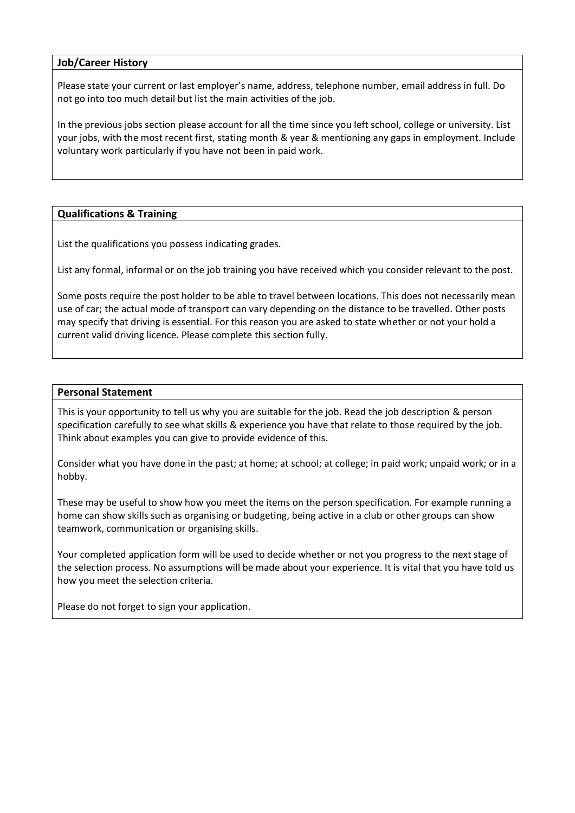#### **Job/Career History**

Please state your current or last employer's name, address, telephone number, email address in full. Do not go into too much detail but list the main activities of the job.

In the previous jobs section please account for all the time since you left school, college or university. List your jobs, with the most recent first, stating month & year & mentioning any gaps in employment. Include voluntary work particularly if you have not been in paid work.

#### **Qualifications & Training**

List the qualifications you possess indicating grades.

List any formal, informal or on the job training you have received which you consider relevant to the post.

Some posts require the post holder to be able to travel between locations. This does not necessarily mean use of car; the actual mode of transport can vary depending on the distance to be travelled. Other posts may specify that driving is essential. For this reason you are asked to state whether or not your hold a current valid driving licence. Please complete this section fully.

#### **Personal Statement**

This is your opportunity to tell us why you are suitable for the job. Read the job description & person specification carefully to see what skills & experience you have that relate to those required by the job. Think about examples you can give to provide evidence of this.

Consider what you have done in the past; at home; at school; at college; in paid work; unpaid work; or in a hobby.

These may be useful to show how you meet the items on the person specification. For example running a home can show skills such as organising or budgeting, being active in a club or other groups can show teamwork, communication or organising skills.

Your completed application form will be used to decide whether or not you progress to the next stage of the selection process. No assumptions will be made about your experience. It is vital that you have told us how you meet the selection criteria.

Please do not forget to sign your application.